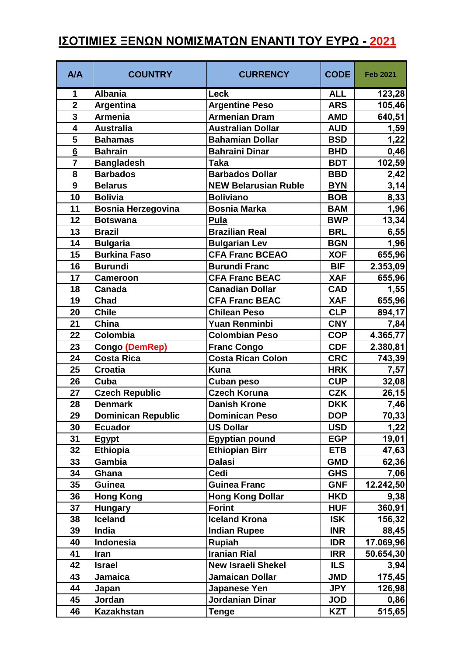## **ΙΣΟΤΙΜΙΕΣ ΞΕΝΩΝ ΝΟΜΙΣΜΑΤΩΝ ΕΝΑΝΤΙ ΤΟΥ ΕΥΡΩ - 2021**

| A/A                     | <b>COUNTRY</b>            | <b>CURRENCY</b>             | <b>CODE</b> | <b>Feb 2021</b> |
|-------------------------|---------------------------|-----------------------------|-------------|-----------------|
| 1                       | <b>Albania</b>            | Leck                        | <b>ALL</b>  | 123,28          |
| $\overline{2}$          | Argentina                 | <b>Argentine Peso</b>       | <b>ARS</b>  | 105,46          |
| $\overline{\mathbf{3}}$ | <b>Armenia</b>            | <b>Armenian Dram</b>        | <b>AMD</b>  | 640,51          |
| 4                       | <b>Australia</b>          | <b>Australian Dollar</b>    | <b>AUD</b>  | 1,59            |
| 5                       | <b>Bahamas</b>            | <b>Bahamian Dollar</b>      | <b>BSD</b>  | 1,22            |
| $6\overline{6}$         | <b>Bahrain</b>            | <b>Bahraini Dinar</b>       | <b>BHD</b>  | 0,46            |
| $\overline{7}$          | <b>Bangladesh</b>         | <b>Taka</b>                 | <b>BDT</b>  | 102,59          |
| 8                       | <b>Barbados</b>           | <b>Barbados Dollar</b>      | <b>BBD</b>  | 2,42            |
| 9                       | <b>Belarus</b>            | <b>NEW Belarusian Ruble</b> | <b>BYN</b>  | 3,14            |
| 10                      | <b>Bolivia</b>            | <b>Boliviano</b>            | <b>BOB</b>  | 8,33            |
| 11                      | <b>Bosnia Herzegovina</b> | Bosnia Marka                | <b>BAM</b>  | 1,96            |
| 12                      | <b>Botswana</b>           | Pula                        | <b>BWP</b>  | 13,34           |
| 13                      | <b>Brazil</b>             | <b>Brazilian Real</b>       | <b>BRL</b>  | 6,55            |
| 14                      | <b>Bulgaria</b>           | <b>Bulgarian Lev</b>        | <b>BGN</b>  | 1,96            |
| 15                      | <b>Burkina Faso</b>       | <b>CFA Franc BCEAO</b>      | <b>XOF</b>  | 655,96          |
| 16                      | <b>Burundi</b>            | <b>Burundi Franc</b>        | <b>BIF</b>  | 2.353,09        |
| 17                      | <b>Cameroon</b>           | <b>CFA Franc BEAC</b>       | <b>XAF</b>  | 655,96          |
| 18                      | <b>Canada</b>             | <b>Canadian Dollar</b>      | <b>CAD</b>  | 1,55            |
| 19                      | Chad                      | <b>CFA Franc BEAC</b>       | <b>XAF</b>  | 655,96          |
| 20                      | <b>Chile</b>              | <b>Chilean Peso</b>         | <b>CLP</b>  | 894,17          |
| 21                      | China                     | <b>Yuan Renminbi</b>        | <b>CNY</b>  | 7,84            |
| 22                      | Colombia                  | <b>Colombian Peso</b>       | <b>COP</b>  | 4.365,77        |
| 23                      | Congo (DemRep)            | <b>Franc Congo</b>          | <b>CDF</b>  | 2.380,81        |
| 24                      | <b>Costa Rica</b>         | <b>Costa Rican Colon</b>    | <b>CRC</b>  | 743,39          |
| 25                      | <b>Croatia</b>            | <b>Kuna</b>                 | <b>HRK</b>  | 7,57            |
| 26                      | Cuba                      | Cuban peso                  | <b>CUP</b>  | 32,08           |
| 27                      | <b>Czech Republic</b>     | <b>Czech Koruna</b>         | <b>CZK</b>  | 26,15           |
| 28                      | <b>Denmark</b>            | <b>Danish Krone</b>         | <b>DKK</b>  | 7,46            |
| 29                      | <b>Dominican Republic</b> | <b>Dominican Peso</b>       | <b>DOP</b>  | 70,33           |
| 30                      | <b>Ecuador</b>            | <b>US Dollar</b>            | <b>USD</b>  | 1,22            |
| 31                      | Egypt                     | <b>Egyptian pound</b>       | <b>EGP</b>  | 19,01           |
| 32                      | <b>Ethiopia</b>           | <b>Ethiopian Birr</b>       | <b>ETB</b>  | 47,63           |
| 33                      | Gambia                    | <b>Dalasi</b>               | <b>GMD</b>  | 62,36           |
| 34                      | Ghana                     | Cedi                        | <b>GHS</b>  | 7,06            |
| 35                      | Guinea                    | <b>Guinea Franc</b>         | <b>GNF</b>  | 12.242,50       |
| 36                      | <b>Hong Kong</b>          | <b>Hong Kong Dollar</b>     | <b>HKD</b>  | 9,38            |
| 37                      | <b>Hungary</b>            | <b>Forint</b>               | <b>HUF</b>  | 360,91          |
| 38                      | <b>Iceland</b>            | <b>Iceland Krona</b>        | <b>ISK</b>  | 156,32          |
| 39                      | India                     | <b>Indian Rupee</b>         | <b>INR</b>  | 88,45           |
| 40                      | Indonesia                 | <b>Rupiah</b>               | <b>IDR</b>  | 17.069,96       |
| 41                      | Iran                      | <b>Iranian Rial</b>         | <b>IRR</b>  | 50.654,30       |
| 42                      | <b>Israel</b>             | <b>New Israeli Shekel</b>   | <b>ILS</b>  | 3,94            |
| 43                      | Jamaica                   | <b>Jamaican Dollar</b>      | <b>JMD</b>  | 175,45          |
| 44                      | Japan                     | <b>Japanese Yen</b>         | <b>JPY</b>  | 126,98          |
| 45                      | Jordan                    | Jordanian Dinar             | <b>JOD</b>  | 0,86            |
| 46                      | <b>Kazakhstan</b>         | <b>Tenge</b>                | <b>KZT</b>  | 515,65          |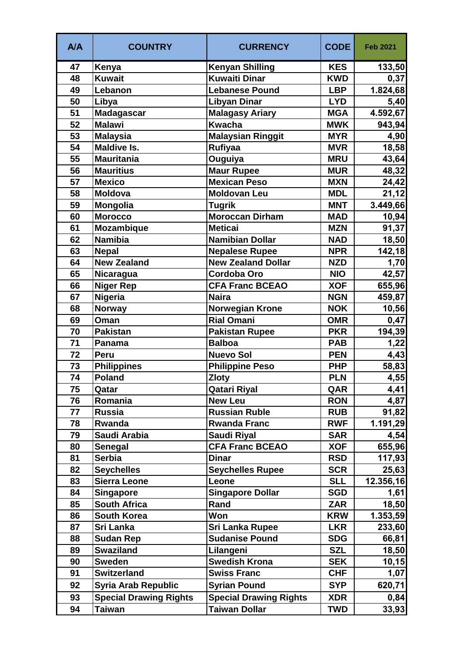| A/A | <b>COUNTRY</b>                | <b>CURRENCY</b>               | <b>CODE</b> | <b>Feb 2021</b> |
|-----|-------------------------------|-------------------------------|-------------|-----------------|
| 47  | Kenya                         | <b>Kenyan Shilling</b>        | <b>KES</b>  | 133,50          |
| 48  | <b>Kuwait</b>                 | <b>Kuwaiti Dinar</b>          | <b>KWD</b>  | 0,37            |
| 49  | Lebanon                       | <b>Lebanese Pound</b>         | <b>LBP</b>  | 1.824,68        |
| 50  | Libya                         | <b>Libyan Dinar</b>           | <b>LYD</b>  | 5,40            |
| 51  | <b>Madagascar</b>             | <b>Malagasy Ariary</b>        | <b>MGA</b>  | 4.592,67        |
| 52  | <b>Malawi</b>                 | <b>Kwacha</b>                 | <b>MWK</b>  | 943,94          |
| 53  | <b>Malaysia</b>               | <b>Malaysian Ringgit</b>      | <b>MYR</b>  | 4,90            |
| 54  | <b>Maldive Is.</b>            | Rufiyaa                       | <b>MVR</b>  | 18,58           |
| 55  | <b>Mauritania</b>             | Ouguiya                       | <b>MRU</b>  | 43,64           |
| 56  | <b>Mauritius</b>              | <b>Maur Rupee</b>             | <b>MUR</b>  | 48,32           |
| 57  | <b>Mexico</b>                 | <b>Mexican Peso</b>           | <b>MXN</b>  | 24,42           |
| 58  | <b>Moldova</b>                | <b>Moldovan Leu</b>           | <b>MDL</b>  | 21,12           |
| 59  | <b>Mongolia</b>               | <b>Tugrik</b>                 | <b>MNT</b>  | 3.449,66        |
| 60  | <b>Morocco</b>                | <b>Moroccan Dirham</b>        | <b>MAD</b>  | 10,94           |
| 61  | <b>Mozambique</b>             | <b>Meticai</b>                | <b>MZN</b>  | 91,37           |
| 62  | <b>Namibia</b>                | <b>Namibian Dollar</b>        | <b>NAD</b>  | 18,50           |
| 63  | <b>Nepal</b>                  | <b>Nepalese Rupee</b>         | <b>NPR</b>  | 142,18          |
| 64  | <b>New Zealand</b>            | <b>New Zealand Dollar</b>     | <b>NZD</b>  | 1,70            |
| 65  | Nicaragua                     | <b>Cordoba Oro</b>            | <b>NIO</b>  | 42,57           |
| 66  | <b>Niger Rep</b>              | <b>CFA Franc BCEAO</b>        | <b>XOF</b>  | 655,96          |
| 67  | Nigeria                       | <b>Naira</b>                  | <b>NGN</b>  | 459,87          |
| 68  | <b>Norway</b>                 | <b>Norwegian Krone</b>        | <b>NOK</b>  | 10,56           |
| 69  | Oman                          | <b>Rial Omani</b>             | <b>OMR</b>  | 0,47            |
| 70  | <b>Pakistan</b>               | <b>Pakistan Rupee</b>         | <b>PKR</b>  | 194,39          |
| 71  | <b>Panama</b>                 | <b>Balboa</b>                 | <b>PAB</b>  | 1,22            |
| 72  | Peru                          | <b>Nuevo Sol</b>              | <b>PEN</b>  | 4,43            |
| 73  | <b>Philippines</b>            | <b>Philippine Peso</b>        | <b>PHP</b>  | 58,83           |
| 74  | <b>Poland</b>                 | <b>Zloty</b>                  | <b>PLN</b>  | 4,55            |
| 75  | Qatar                         | Qatari Riyal                  | QAR         | 4,41            |
| 76  | Romania                       | <b>New Leu</b>                | <b>RON</b>  | 4,87            |
| 77  | <b>Russia</b>                 | <b>Russian Ruble</b>          | <b>RUB</b>  | 91,82           |
| 78  | Rwanda                        | <b>Rwanda Franc</b>           | <b>RWF</b>  | 1.191,29        |
| 79  | Saudi Arabia                  | <b>Saudi Riyal</b>            | <b>SAR</b>  | 4,54            |
| 80  | Senegal                       | <b>CFA Franc BCEAO</b>        | <b>XOF</b>  | 655,96          |
| 81  | <b>Serbia</b>                 | <b>Dinar</b>                  | <b>RSD</b>  | 117,93          |
| 82  | <b>Seychelles</b>             | <b>Seychelles Rupee</b>       | <b>SCR</b>  | 25,63           |
| 83  | <b>Sierra Leone</b>           | Leone                         | <b>SLL</b>  | 12.356,16       |
| 84  | <b>Singapore</b>              | <b>Singapore Dollar</b>       | <b>SGD</b>  | 1,61            |
| 85  | <b>South Africa</b>           | Rand                          | <b>ZAR</b>  | 18,50           |
| 86  | <b>South Korea</b>            | Won                           | <b>KRW</b>  | 1.353,59        |
| 87  | Sri Lanka                     | <b>Sri Lanka Rupee</b>        | <b>LKR</b>  | 233,60          |
| 88  | <b>Sudan Rep</b>              | <b>Sudanise Pound</b>         | <b>SDG</b>  | 66,81           |
| 89  | <b>Swaziland</b>              | Lilangeni                     | <b>SZL</b>  | 18,50           |
| 90  | <b>Sweden</b>                 | <b>Swedish Krona</b>          | <b>SEK</b>  | 10, 15          |
| 91  | <b>Switzerland</b>            | <b>Swiss Franc</b>            | <b>CHF</b>  | 1,07            |
| 92  | <b>Syria Arab Republic</b>    | <b>Syrian Pound</b>           | <b>SYP</b>  | 620,71          |
| 93  | <b>Special Drawing Rights</b> | <b>Special Drawing Rights</b> | <b>XDR</b>  | 0,84            |
| 94  | Taiwan                        | <b>Taiwan Dollar</b>          | <b>TWD</b>  | 33,93           |